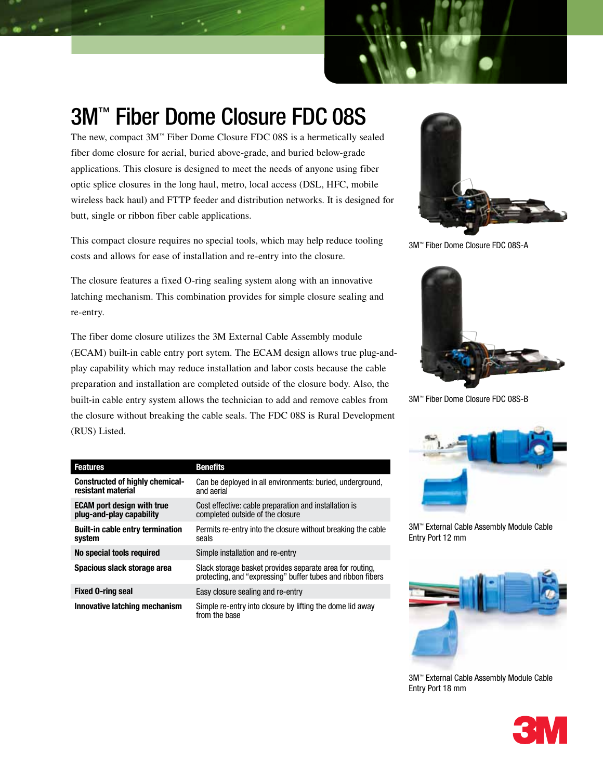

# 3M™ Fiber Dome Closure FDC 08S

The new, compact 3M™ Fiber Dome Closure FDC 08S is a hermetically sealed fiber dome closure for aerial, buried above-grade, and buried below-grade applications. This closure is designed to meet the needs of anyone using fiber optic splice closures in the long haul, metro, local access (DSL, HFC, mobile wireless back haul) and FTTP feeder and distribution networks. It is designed for butt, single or ribbon fiber cable applications.

This compact closure requires no special tools, which may help reduce tooling costs and allows for ease of installation and re-entry into the closure.

The closure features a fixed O-ring sealing system along with an innovative latching mechanism. This combination provides for simple closure sealing and re-entry.

The fiber dome closure utilizes the 3M External Cable Assembly module (ECAM) built-in cable entry port sytem. The ECAM design allows true plug-andplay capability which may reduce installation and labor costs because the cable preparation and installation are completed outside of the closure body. Also, the built-in cable entry system allows the technician to add and remove cables from the closure without breaking the cable seals. The FDC 08S is Rural Development (RUS) Listed.



3M™ Fiber Dome Closure FDC 08S-A



3M™ Fiber Dome Closure FDC 08S-B



3M™ External Cable Assembly Module Cable Entry Port 12 mm



3M™ External Cable Assembly Module Cable Entry Port 18 mm



| <b>Features</b>                                               | <b>Benefits</b>                                                                                                         |
|---------------------------------------------------------------|-------------------------------------------------------------------------------------------------------------------------|
| <b>Constructed of highly chemical-</b><br>resistant material  | Can be deployed in all environments: buried, underground,<br>and aerial                                                 |
| <b>ECAM port design with true</b><br>plug-and-play capability | Cost effective: cable preparation and installation is<br>completed outside of the closure                               |
| <b>Built-in cable entry termination</b><br>system             | Permits re-entry into the closure without breaking the cable<br>seals                                                   |
| No special tools required                                     | Simple installation and re-entry                                                                                        |
| Spacious slack storage area                                   | Slack storage basket provides separate area for routing.<br>protecting, and "expressing" buffer tubes and ribbon fibers |
| <b>Fixed O-ring seal</b>                                      | Easy closure sealing and re-entry                                                                                       |
| Innovative latching mechanism                                 | Simple re-entry into closure by lifting the dome lid away<br>from the base                                              |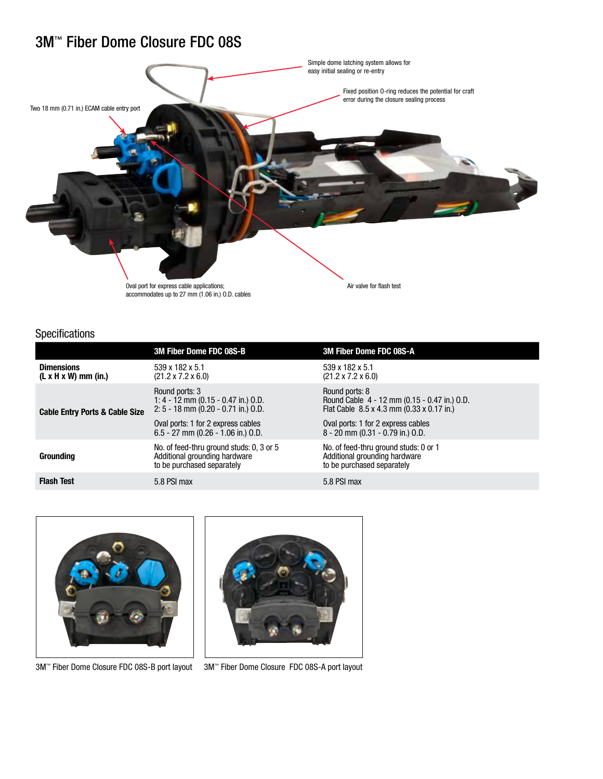## 3M™ Fiber Dome Closure FDC 08S



### Specifications

|                                                       | <b>3M Fiber Dome FDC 08S-B</b>                                                                                                                                               | 3M Fiber Dome FDC 08S-A                                                                                                                                                               |
|-------------------------------------------------------|------------------------------------------------------------------------------------------------------------------------------------------------------------------------------|---------------------------------------------------------------------------------------------------------------------------------------------------------------------------------------|
| <b>Dimensions</b><br>$(L \times H \times W)$ mm (in.) | 539 x 182 x 5.1<br>$(21.2 \times 7.2 \times 6.0)$                                                                                                                            | 539 x 182 x 5.1<br>$(21.2 \times 7.2 \times 6.0)$                                                                                                                                     |
| <b>Cable Entry Ports &amp; Cable Size</b>             | Round ports: 3<br>1: 4 - 12 mm (0.15 - 0.47 in.) O.D.<br>$2: 5 - 18$ mm (0.20 - 0.71 in.) O.D.<br>Oval ports: 1 for 2 express cables<br>$6.5 - 27$ mm (0.26 - 1.06 in.) O.D. | Round ports: 8<br>Round Cable 4 - 12 mm (0.15 - 0.47 in.) O.D.<br>Flat Cable 8.5 x 4.3 mm (0.33 x 0.17 in.)<br>Oval ports: 1 for 2 express cables<br>8 - 20 mm (0.31 - 0.79 in.) O.D. |
| <b>Grounding</b>                                      | No. of feed-thru ground studs: 0, 3 or 5<br>Additional grounding hardware<br>to be purchased separately                                                                      | No. of feed-thru ground studs: 0 or 1<br>Additional grounding hardware<br>to be purchased separately                                                                                  |
| <b>Flash Test</b>                                     | 5.8 PSI max                                                                                                                                                                  | 5.8 PSI max                                                                                                                                                                           |



3M<sup>™</sup> Fiber Dome Closure FDC 08S-B port layout 3M<sup>™</sup> Fiber Dome Closure FDC 08S-A port layout

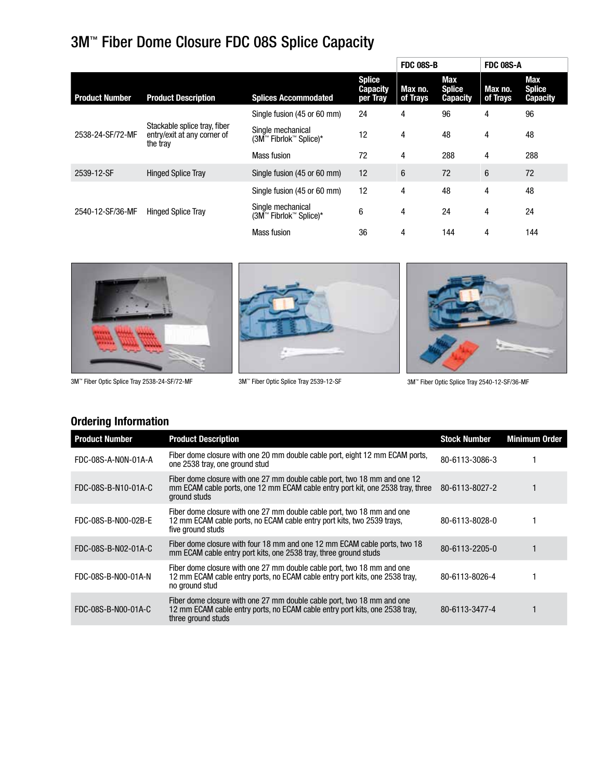# 3M™ Fiber Dome Closure FDC 08S Splice Capacity

|                       |                                                                         |                                             |                                              | <b>FDC 08S-B</b>    |                                         | <b>FDC 08S-A</b>    |                                         |
|-----------------------|-------------------------------------------------------------------------|---------------------------------------------|----------------------------------------------|---------------------|-----------------------------------------|---------------------|-----------------------------------------|
| <b>Product Number</b> | <b>Product Description</b>                                              | <b>Splices Accommodated</b>                 | <b>Splice</b><br><b>Capacity</b><br>per Tray | Max no.<br>of Trays | Max<br><b>Splice</b><br><b>Capacity</b> | Max no.<br>of Trays | Max<br><b>Splice</b><br><b>Capacity</b> |
|                       |                                                                         | Single fusion (45 or 60 mm)                 | 24                                           | 4                   | 96                                      | 4                   | 96                                      |
| 2538-24-SF/72-MF      | Stackable splice tray, fiber<br>entry/exit at any corner of<br>the tray | Single mechanical<br>(3M™ Fibrlok™ Splice)* | 12                                           | 4                   | 48                                      | 4                   | 48                                      |
|                       |                                                                         | Mass fusion                                 | 72                                           | 4                   | 288                                     | 4                   | 288                                     |
| 2539-12-SF            | <b>Hinged Splice Tray</b>                                               | Single fusion (45 or 60 mm)                 | 12                                           | 6                   | 72                                      | $6\phantom{1}6$     | 72                                      |
|                       |                                                                         | Single fusion (45 or 60 mm)                 | 12                                           | 4                   | 48                                      | 4                   | 48                                      |
| 2540-12-SF/36-MF      | <b>Hinged Splice Tray</b>                                               | Single mechanical<br>(3M™ Fibrlok™ Splice)* | 6                                            | 4                   | 24                                      | 4                   | 24                                      |
|                       |                                                                         | <b>Mass fusion</b>                          | 36                                           | 4                   | 144                                     | 4                   | 144                                     |



### **Ordering Information**

| <b>Product Number</b> | <b>Product Description</b>                                                                                                                                                  | <b>Stock Number</b> | <b>Minimum Order</b> |
|-----------------------|-----------------------------------------------------------------------------------------------------------------------------------------------------------------------------|---------------------|----------------------|
| FDC-08S-A-N0N-01A-A   | Fiber dome closure with one 20 mm double cable port, eight 12 mm ECAM ports,<br>one 2538 tray, one ground stud                                                              | 80-6113-3086-3      |                      |
| FDC-08S-B-N10-01A-C   | Fiber dome closure with one 27 mm double cable port, two 18 mm and one 12<br>mm ECAM cable ports, one 12 mm ECAM cable entry port kit, one 2538 tray, three<br>ground studs | 80-6113-8027-2      |                      |
| FDC-08S-B-N00-02B-E   | Fiber dome closure with one 27 mm double cable port, two 18 mm and one<br>12 mm ECAM cable ports, no ECAM cable entry port kits, two 2539 trays,<br>five ground studs       | 80-6113-8028-0      |                      |
| FDC-08S-B-N02-01A-C   | Fiber dome closure with four 18 mm and one 12 mm ECAM cable ports, two 18<br>mm ECAM cable entry port kits, one 2538 tray, three ground studs                               | 80-6113-2205-0      |                      |
| FDC-08S-B-N00-01A-N   | Fiber dome closure with one 27 mm double cable port, two 18 mm and one<br>12 mm ECAM cable entry ports, no ECAM cable entry port kits, one 2538 tray,<br>no ground stud     | 80-6113-8026-4      |                      |
| FDC-08S-B-N00-01A-C   | Fiber dome closure with one 27 mm double cable port, two 18 mm and one<br>12 mm ECAM cable entry ports, no ECAM cable entry port kits, one 2538 tray,<br>three ground studs | 80-6113-3477-4      |                      |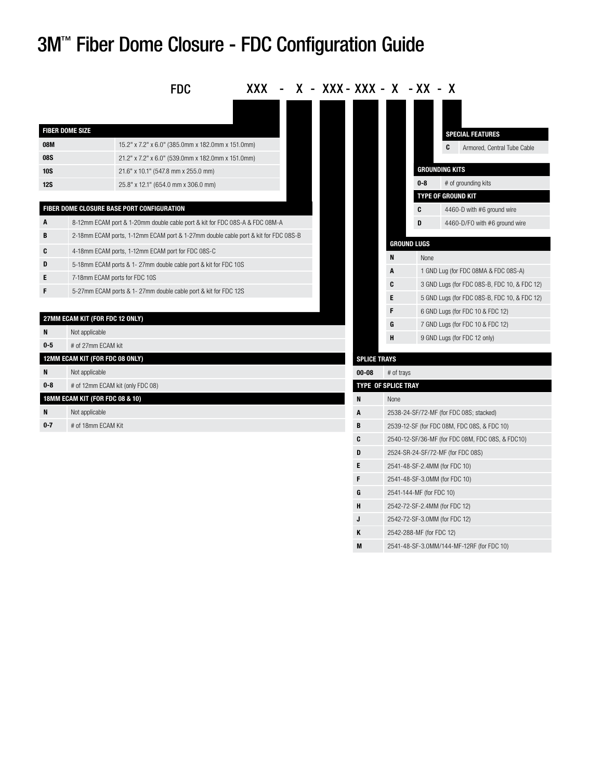# 3M™ Fiber Dome Closure - FDC Configuration Guide

|                        |                                 | <b>FDC</b>                                                                                             |  |  | XXX - X - XXX - XXX - X - XX - X |                            |                          |                                                  |
|------------------------|---------------------------------|--------------------------------------------------------------------------------------------------------|--|--|----------------------------------|----------------------------|--------------------------|--------------------------------------------------|
|                        |                                 |                                                                                                        |  |  |                                  |                            |                          |                                                  |
| <b>FIBER DOME SIZE</b> |                                 |                                                                                                        |  |  |                                  |                            |                          |                                                  |
| <b>08M</b>             |                                 |                                                                                                        |  |  |                                  |                            |                          | <b>SPECIAL FEATURES</b>                          |
| <b>08S</b>             |                                 | 15.2" x 7.2" x 6.0" (385.0mm x 182.0mm x 151.0mm)<br>21.2" x 7.2" x 6.0" (539.0mm x 182.0mm x 151.0mm) |  |  |                                  |                            |                          | C<br>Armored, Central Tube Cable                 |
| <b>10S</b>             |                                 | 21.6" x 10.1" (547.8 mm x 255.0 mm)                                                                    |  |  |                                  |                            |                          | <b>GROUNDING KITS</b>                            |
| <b>12S</b>             |                                 | 25.8" x 12.1" (654.0 mm x 306.0 mm)                                                                    |  |  |                                  |                            | $0 - 8$                  | # of grounding kits                              |
|                        |                                 |                                                                                                        |  |  |                                  |                            |                          | <b>TYPE OF GROUND KIT</b>                        |
|                        |                                 | FIBER DOME CLOSURE BASE PORT CONFIGURATION                                                             |  |  |                                  |                            | C                        | 4460-D with #6 ground wire                       |
| A                      |                                 | 8-12mm ECAM port & 1-20mm double cable port & kit for FDC 08S-A & FDC 08M-A                            |  |  |                                  |                            | D                        | 4460-D/FO with #6 ground wire                    |
| B                      |                                 | 2-18mm ECAM ports, 1-12mm ECAM port & 1-27mm double cable port & kit for FDC 08S-B                     |  |  |                                  |                            |                          |                                                  |
| C                      |                                 | 4-18mm ECAM ports, 1-12mm ECAM port for FDC 08S-C                                                      |  |  |                                  |                            | <b>GROUND LUGS</b>       |                                                  |
| D                      |                                 | 5-18mm ECAM ports & 1-27mm double cable port & kit for FDC 10S                                         |  |  |                                  | N                          | None                     |                                                  |
| E                      |                                 | 7-18mm ECAM ports for FDC 10S                                                                          |  |  |                                  | A                          |                          | 1 GND Lug (for FDC 08MA & FDC 08S-A)             |
| F                      |                                 | 5-27mm ECAM ports & 1-27mm double cable port & kit for FDC 12S                                         |  |  |                                  | C                          |                          | 3 GND Lugs (for FDC 08S-B, FDC 10, & FDC 12)     |
|                        |                                 |                                                                                                        |  |  |                                  | E                          |                          | 5 GND Lugs (for FDC 08S-B, FDC 10, & FDC 12)     |
|                        | 27MM ECAM KIT (FOR FDC 12 ONLY) |                                                                                                        |  |  |                                  | F                          |                          | 6 GND Lugs (for FDC 10 & FDC 12)                 |
| N                      | Not applicable                  |                                                                                                        |  |  |                                  | G                          |                          | 7 GND Lugs (for FDC 10 & FDC 12)                 |
| $0-5$                  | # of 27mm ECAM kit              |                                                                                                        |  |  |                                  | н                          |                          | 9 GND Lugs (for FDC 12 only)                     |
|                        | 12MM ECAM KIT (FOR FDC 08 ONLY) |                                                                                                        |  |  | <b>SPLICE TRAYS</b>              |                            |                          |                                                  |
| N                      | Not applicable                  |                                                                                                        |  |  | $00 - 08$                        | # of trays                 |                          |                                                  |
| $0 - 8$                |                                 | # of 12mm ECAM kit (only FDC 08)                                                                       |  |  |                                  | <b>TYPE OF SPLICE TRAY</b> |                          |                                                  |
|                        | 18MM ECAM KIT (FOR FDC 08 & 10) |                                                                                                        |  |  | N                                | None                       |                          |                                                  |
| N                      | Not applicable                  |                                                                                                        |  |  | A                                |                            |                          | 2538-24-SF/72-MF (for FDC 08S; stacked)          |
| $0 - 7$                | # of 18mm ECAM Kit              |                                                                                                        |  |  | B                                |                            |                          | 2539-12-SF (for FDC 08M, FDC 08S, & FDC 10)      |
|                        |                                 |                                                                                                        |  |  | C                                |                            |                          | 2540-12-SF/36-MF (for FDC 08M, FDC 08S, & FDC10) |
|                        |                                 |                                                                                                        |  |  | D                                |                            |                          | 2524-SR-24-SF/72-MF (for FDC 08S)                |
|                        |                                 |                                                                                                        |  |  | E                                |                            |                          | 2541-48-SF-2.4MM (for FDC 10)                    |
|                        |                                 |                                                                                                        |  |  | F                                |                            |                          | 2541-48-SF-3.0MM (for FDC 10)                    |
|                        |                                 |                                                                                                        |  |  | G                                |                            | 2541-144-MF (for FDC 10) |                                                  |
|                        |                                 |                                                                                                        |  |  | н                                |                            |                          | 2542-72-SF-2.4MM (for FDC 12)                    |
|                        |                                 |                                                                                                        |  |  | J.                               |                            |                          | 2542-72-SF-3.0MM (for FDC 12)                    |

**K** 2542-288-MF (for FDC 12)

**M** 2541-48-SF-3.0MM/144-MF-12RF (for FDC 10)